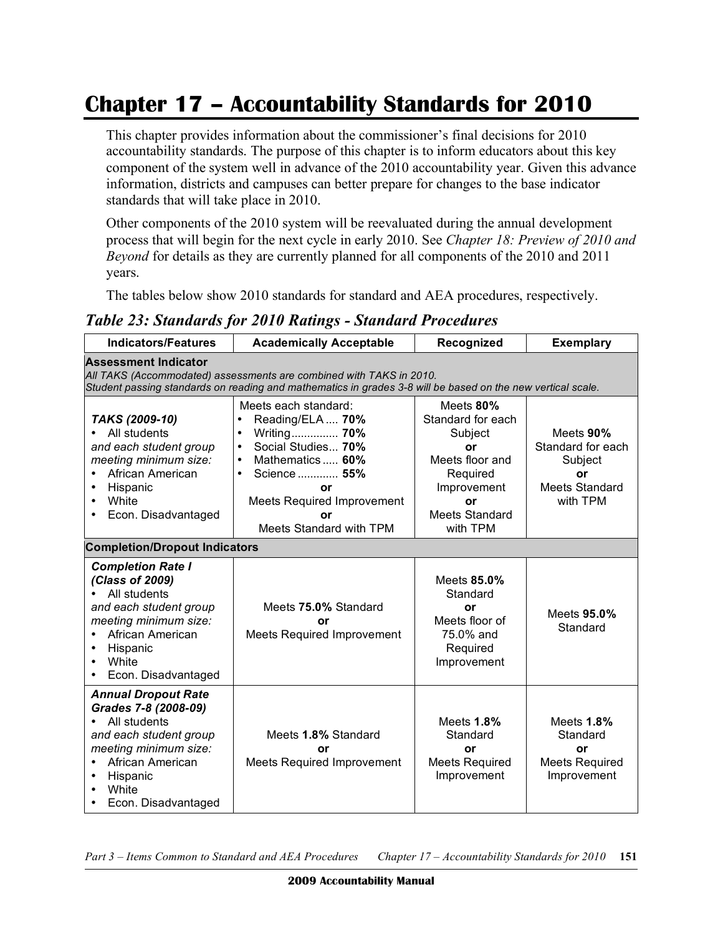## **Chapter 17 – Accountability Standards for 2010**

This chapter provides information about the commissioner's final decisions for 2010 accountability standards. The purpose of this chapter is to inform educators about this key component of the system well in advance of the 2010 accountability year. Given this advance information, districts and campuses can better prepare for changes to the base indicator standards that will take place in 2010.

Other components of the 2010 system will be reevaluated during the annual development process that will begin for the next cycle in early 2010. See *Chapter 18: Preview of 2010 and Beyond* for details as they are currently planned for all components of the 2010 and 2011 years.

The tables below show 2010 standards for standard and AEA procedures, respectively.

*Table 23: Standards for 2010 Ratings - Standard Procedures*

| <b>Indicators/Features</b>                                                                                                                                                                                        | <b>Academically Acceptable</b>                                                                                                                                                                                                                                | Recognized                                                                                                                               | <b>Exemplary</b>                                                                     |  |  |
|-------------------------------------------------------------------------------------------------------------------------------------------------------------------------------------------------------------------|---------------------------------------------------------------------------------------------------------------------------------------------------------------------------------------------------------------------------------------------------------------|------------------------------------------------------------------------------------------------------------------------------------------|--------------------------------------------------------------------------------------|--|--|
| <b>Assessment Indicator</b><br>All TAKS (Accommodated) assessments are combined with TAKS in 2010.<br>Student passing standards on reading and mathematics in grades 3-8 will be based on the new vertical scale. |                                                                                                                                                                                                                                                               |                                                                                                                                          |                                                                                      |  |  |
| TAKS (2009-10)<br>All students<br>$\bullet$<br>and each student group<br>meeting minimum size:<br>African American<br>Hispanic<br>White<br>Econ. Disadvantaged<br>٠                                               | Meets each standard:<br>Reading/ELA  70%<br>$\bullet$<br>Writing 70%<br>$\bullet$<br>Social Studies 70%<br>$\bullet$<br>Mathematics 60%<br>$\bullet$<br>Science  55%<br>$\bullet$<br>or<br><b>Meets Required Improvement</b><br>or<br>Meets Standard with TPM | Meets 80%<br>Standard for each<br>Subject<br>or<br>Meets floor and<br>Required<br>Improvement<br>or<br><b>Meets Standard</b><br>with TPM | Meets 90%<br>Standard for each<br>Subject<br>or<br><b>Meets Standard</b><br>with TPM |  |  |
| <b>Completion/Dropout Indicators</b>                                                                                                                                                                              |                                                                                                                                                                                                                                                               |                                                                                                                                          |                                                                                      |  |  |
| <b>Completion Rate I</b><br>(Class of 2009)<br>All students<br>$\bullet$<br>and each student group<br>meeting minimum size:<br>African American<br>Hispanic<br>White<br>Econ. Disadvantaged                       | Meets 75.0% Standard<br>Ωr<br><b>Meets Required Improvement</b>                                                                                                                                                                                               | Meets 85.0%<br>Standard<br>or<br>Meets floor of<br>75.0% and<br>Required<br>Improvement                                                  | Meets 95.0%<br>Standard                                                              |  |  |
| <b>Annual Dropout Rate</b><br>Grades 7-8 (2008-09)<br>All students<br>$\bullet$<br>and each student group<br>meeting minimum size:<br>African American<br>$\bullet$<br>Hispanic<br>White<br>Econ. Disadvantaged   | Meets 1.8% Standard<br>or<br><b>Meets Required Improvement</b>                                                                                                                                                                                                | Meets 1.8%<br>Standard<br>or<br><b>Meets Required</b><br>Improvement                                                                     | Meets 1.8%<br>Standard<br>or<br><b>Meets Required</b><br>Improvement                 |  |  |

Part 3 – Items Common to Standard and AEA Procedures Chapter 17 – Accountability Standards for 2010 151